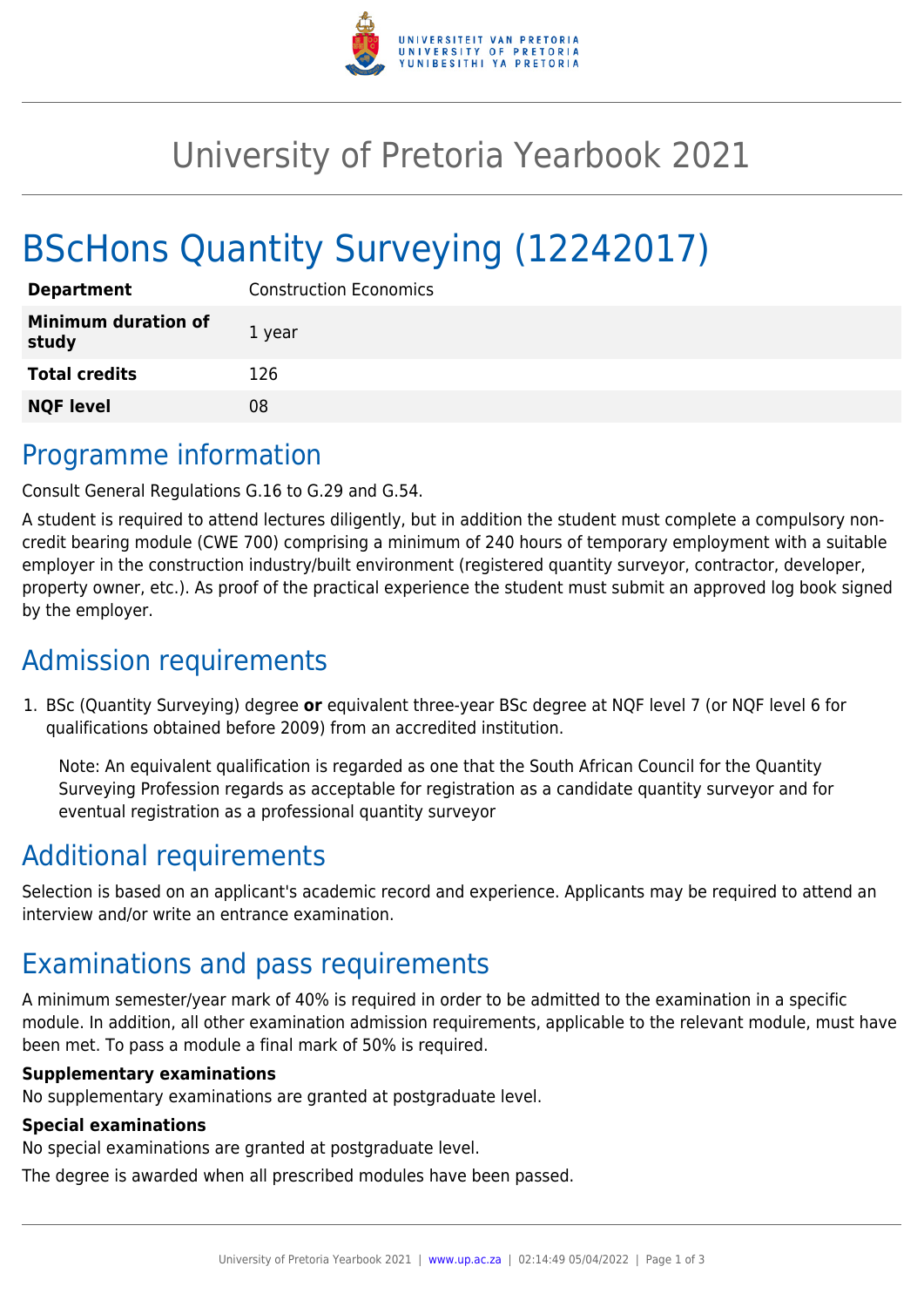

## University of Pretoria Yearbook 2021

# BScHons Quantity Surveying (12242017)

| <b>Department</b>                   | <b>Construction Economics</b> |
|-------------------------------------|-------------------------------|
| <b>Minimum duration of</b><br>study | 1 year                        |
| <b>Total credits</b>                | 126                           |
| <b>NQF level</b>                    | 08                            |

### Programme information

Consult General Regulations G.16 to G.29 and G.54.

A student is required to attend lectures diligently, but in addition the student must complete a compulsory noncredit bearing module (CWE 700) comprising a minimum of 240 hours of temporary employment with a suitable employer in the construction industry/built environment (registered quantity surveyor, contractor, developer, property owner, etc.). As proof of the practical experience the student must submit an approved log book signed by the employer.

## Admission requirements

1. BSc (Quantity Surveying) degree **or** equivalent three-year BSc degree at NQF level 7 (or NQF level 6 for qualifications obtained before 2009) from an accredited institution.

Note: An equivalent qualification is regarded as one that the South African Council for the Quantity Surveying Profession regards as acceptable for registration as a candidate quantity surveyor and for eventual registration as a professional quantity surveyor

## Additional requirements

Selection is based on an applicant's academic record and experience. Applicants may be required to attend an interview and/or write an entrance examination.

### Examinations and pass requirements

A minimum semester/year mark of 40% is required in order to be admitted to the examination in a specific module. In addition, all other examination admission requirements, applicable to the relevant module, must have been met. To pass a module a final mark of 50% is required.

#### **Supplementary examinations**

No supplementary examinations are granted at postgraduate level.

#### **Special examinations**

No special examinations are granted at postgraduate level.

The degree is awarded when all prescribed modules have been passed.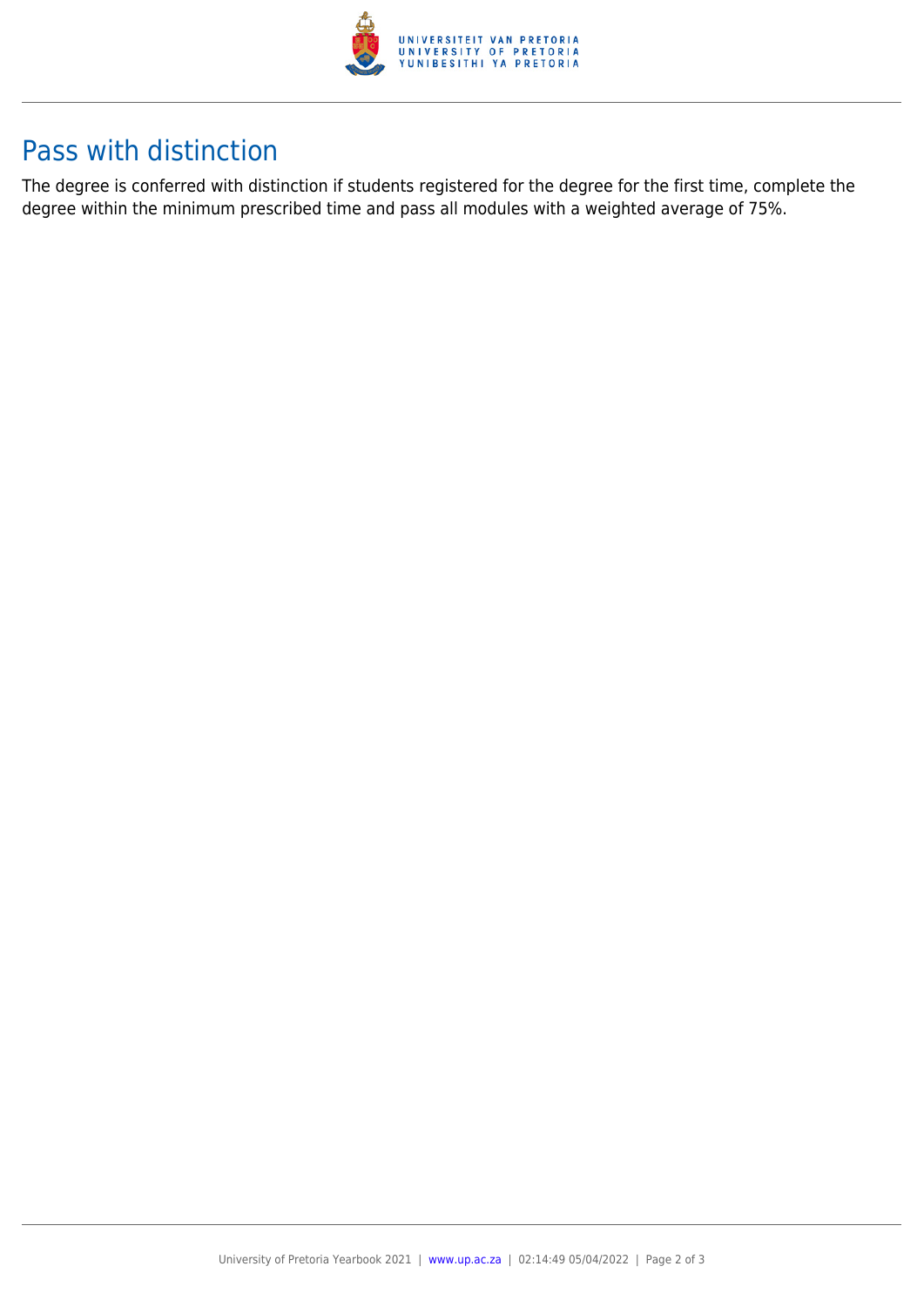

## Pass with distinction

The degree is conferred with distinction if students registered for the degree for the first time, complete the degree within the minimum prescribed time and pass all modules with a weighted average of 75%.